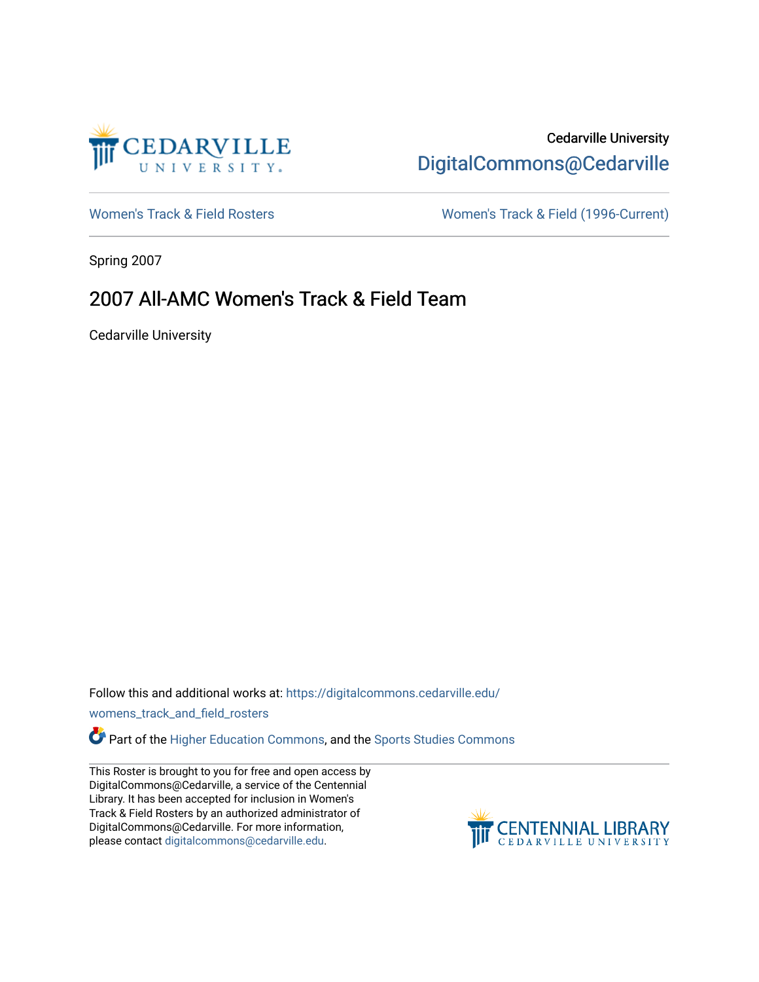

## Cedarville University [DigitalCommons@Cedarville](https://digitalcommons.cedarville.edu/)

[Women's Track & Field Rosters](https://digitalcommons.cedarville.edu/womens_track_and_field_rosters) Women's Track & Field (1996-Current)

Spring 2007

## 2007 All-AMC Women's Track & Field Team

Cedarville University

Follow this and additional works at: [https://digitalcommons.cedarville.edu/](https://digitalcommons.cedarville.edu/womens_track_and_field_rosters?utm_source=digitalcommons.cedarville.edu%2Fwomens_track_and_field_rosters%2F45&utm_medium=PDF&utm_campaign=PDFCoverPages)

[womens\\_track\\_and\\_field\\_rosters](https://digitalcommons.cedarville.edu/womens_track_and_field_rosters?utm_source=digitalcommons.cedarville.edu%2Fwomens_track_and_field_rosters%2F45&utm_medium=PDF&utm_campaign=PDFCoverPages) 

Part of the [Higher Education Commons,](http://network.bepress.com/hgg/discipline/1245?utm_source=digitalcommons.cedarville.edu%2Fwomens_track_and_field_rosters%2F45&utm_medium=PDF&utm_campaign=PDFCoverPages) and the [Sports Studies Commons](http://network.bepress.com/hgg/discipline/1198?utm_source=digitalcommons.cedarville.edu%2Fwomens_track_and_field_rosters%2F45&utm_medium=PDF&utm_campaign=PDFCoverPages) 

This Roster is brought to you for free and open access by DigitalCommons@Cedarville, a service of the Centennial Library. It has been accepted for inclusion in Women's Track & Field Rosters by an authorized administrator of DigitalCommons@Cedarville. For more information, please contact [digitalcommons@cedarville.edu](mailto:digitalcommons@cedarville.edu).

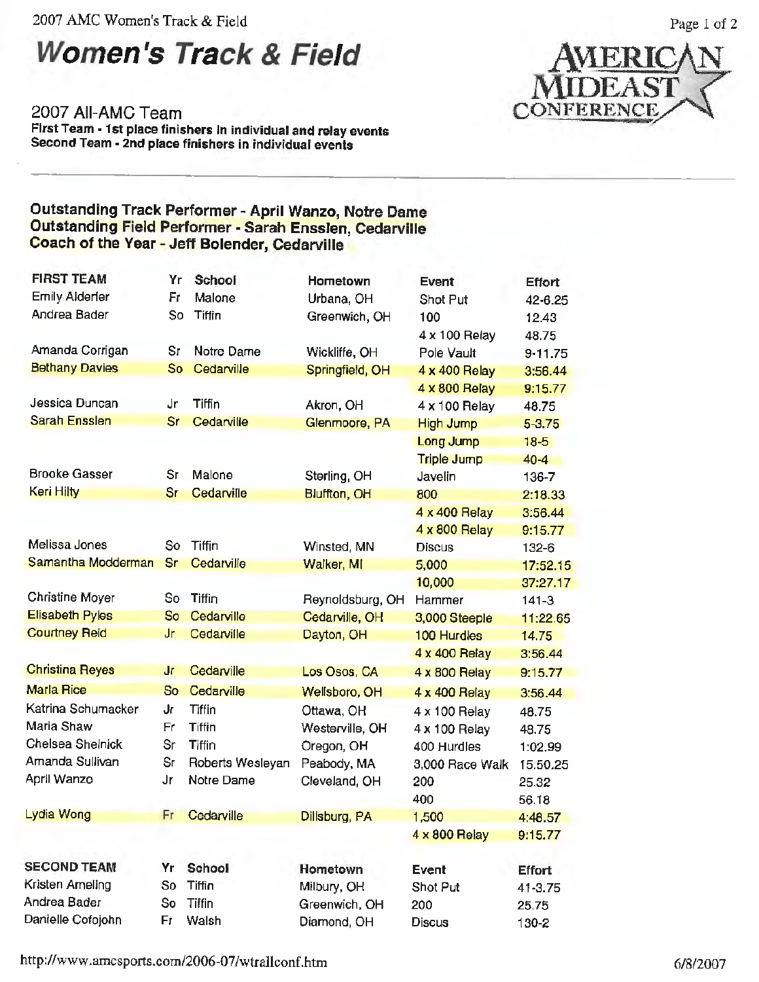2007 AMC Women's Track & Field

# **Women's Track & Field**

2007 All-AMC Team **First Team• 1st place finishers** In **individual and relay events Second Team** - **2nd place finishers in individual events** 



Page I of 2

#### Outstanding Track Performer - April Wanzo, Notre Dame Outstanding Field Performer - Sarah Ensslen, Cedarville Coach of the Year - Jeff Bolender, Cedarville

| <b>FIRST TEAM</b>      | Yr        | School           | Hometown            | <b>Event</b>       | Effort        |
|------------------------|-----------|------------------|---------------------|--------------------|---------------|
| <b>Emily Alderfer</b>  | Fr        | Malone           | Urbana, OH          | Shot Put           | 42-6.25       |
| Andrea Bader           | So        | <b>Tiffin</b>    | Greenwich, OH       | 100                | 12.43         |
|                        |           |                  |                     | 4 x 100 Relay      | 48.75         |
| Amanda Corrigan        | Sr        | Notre Dame       | Wickliffe, OH       | Pole Vault         | 9-11.75       |
| <b>Bethany Davies</b>  | So        | Cedarville       | Springfield, OH     | 4 x 400 Relay      | 3:56.44       |
|                        |           |                  |                     | 4 x 800 Relay      | 9:15.77       |
| Jessica Duncan         | Jr        | <b>Tiffin</b>    | Akron, OH           | 4 x 100 Relay      | 48.75         |
| <b>Sarah Ensslen</b>   | Sr        | Cedarville       | Glenmoore, PA       | <b>High Jump</b>   | $5 - 3.75$    |
|                        |           |                  |                     | Long Jump          | $18-5$        |
|                        |           |                  |                     | <b>Triple Jump</b> | $40 - 4$      |
| <b>Brooke Gasser</b>   | Sr        | Malone           | Sterling, OH        | Javelin            | 136-7         |
| Keri Hilty             | Sr        | Cedarville       | <b>Bluffton, OH</b> | 800                | 2:18.33       |
|                        |           |                  |                     | 4 x 400 Relay      | 3:56.44       |
|                        |           |                  |                     | 4 x 800 Relay      | 9:15.77       |
| Melissa Jones          | So        | Tiffin           | Winsted, MN         | <b>Discus</b>      | 132-6         |
| Samantha Modderman     | <b>Sr</b> | Cedarville       | Walker, MI          | 5,000              | 17:52.15      |
|                        |           |                  |                     | 10,000             | 37:27.17      |
| Christine Moyer        | So        | Tiffin           | Reynoldsburg, OH    | Hammer             | $141 - 3$     |
| <b>Elisabeth Pyles</b> | So        | Cedarville       | Cedarville, OH      | 3,000 Steeple      | 11:22.65      |
| <b>Courtney Reid</b>   | Jr        | Cedarville       | Dayton, OH          | 100 Hurdles        | 14.75         |
|                        |           |                  |                     | 4 x 400 Relay      | 3:56.44       |
| <b>Christina Reyes</b> | Jr        | Cedarville       | Los Osos, CA        | 4 x 800 Relay      | 9:15.77       |
| <b>Marla Rice</b>      | So        | Cedarville       | Wellsboro, OH       | 4 x 400 Relay      | 3:56.44       |
| Katrina Schumacker     | Jr        | <b>Tiffin</b>    | Ottawa, OH          | 4 x 100 Relay      | 48.75         |
| Maria Shaw             | Fr        | <b>Tiffin</b>    | Westerville, OH     | 4 x 100 Relay      | 48.75         |
| Chelsea Shelnick       | Sr        | <b>Tiffin</b>    | Oregon, OH          | 400 Hurdles        | 1:02.99       |
| Amanda Sullivan        | Sr        | Roberts Wesleyan | Peabody, MA         | 3,000 Race Walk    | 15:50.25      |
| April Wanzo            | Jr        | Notre Dame       | Cleveland, OH       | 200                | 25.32         |
|                        |           |                  |                     | 400                | 56.18         |
| Lydia Wong             | Fr.       | Cedarville       | Dillsburg, PA       | 1,500              | 4:48.57       |
|                        |           |                  |                     | 4 x 800 Relay      | 9:15.77       |
|                        |           |                  |                     |                    |               |
| <b>SECOND TEAM</b>     | Yr        | School           | Hometown            | Event              | <b>Effort</b> |
| Kristen Ameling        | So        | Tiffin           | Milbury, OH         | Shot Put           | 41-3.75       |
| Andrea Bader           | So        | <b>Tiffin</b>    | Greenwich, OH       | 200                | 25.75         |
| Danielle Cofojohn      | Fr        | Walsh            | Diamond, OH         | <b>Discus</b>      | 130-2         |

http://www.amcsports.com/2006-07/wtra11conf.htm